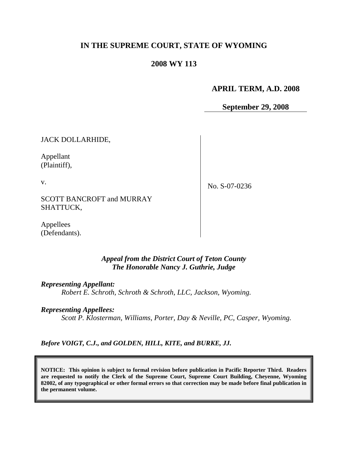# **IN THE SUPREME COURT, STATE OF WYOMING**

## **2008 WY 113**

## **APRIL TERM, A.D. 2008**

**September 29, 2008**

JACK DOLLARHIDE,

Appellant (Plaintiff),

v.

No. S-07-0236

SCOTT BANCROFT and MURRAY SHATTUCK,

Appellees (Defendants).

### *Appeal from the District Court of Teton County The Honorable Nancy J. Guthrie, Judge*

*Representing Appellant: Robert E. Schroth, Schroth & Schroth, LLC, Jackson, Wyoming.*

*Representing Appellees:*

*Scott P. Klosterman, Williams, Porter, Day & Neville, PC, Casper, Wyoming.*

*Before VOIGT, C.J., and GOLDEN, HILL, KITE, and BURKE, JJ.*

**NOTICE: This opinion is subject to formal revision before publication in Pacific Reporter Third. Readers are requested to notify the Clerk of the Supreme Court, Supreme Court Building, Cheyenne, Wyoming 82002, of any typographical or other formal errors so that correction may be made before final publication in the permanent volume.**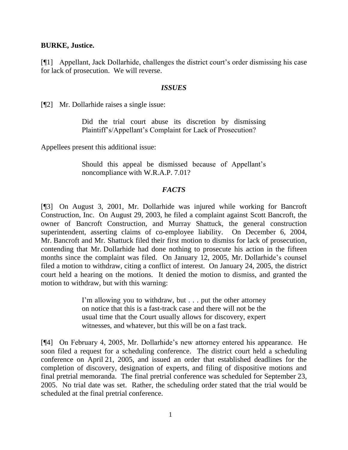#### **BURKE, Justice.**

[¶1] Appellant, Jack Dollarhide, challenges the district court's order dismissing his case for lack of prosecution. We will reverse.

#### *ISSUES*

[¶2] Mr. Dollarhide raises a single issue:

Did the trial court abuse its discretion by dismissing Plaintiff's/Appellant's Complaint for Lack of Prosecution?

Appellees present this additional issue:

Should this appeal be dismissed because of Appellant's noncompliance with W.R.A.P. 7.01?

### *FACTS*

[¶3] On August 3, 2001, Mr. Dollarhide was injured while working for Bancroft Construction, Inc. On August 29, 2003, he filed a complaint against Scott Bancroft, the owner of Bancroft Construction, and Murray Shattuck, the general construction superintendent, asserting claims of co-employee liability. On December 6, 2004, Mr. Bancroft and Mr. Shattuck filed their first motion to dismiss for lack of prosecution, contending that Mr. Dollarhide had done nothing to prosecute his action in the fifteen months since the complaint was filed. On January 12, 2005, Mr. Dollarhide's counsel filed a motion to withdraw, citing a conflict of interest. On January 24, 2005, the district court held a hearing on the motions. It denied the motion to dismiss, and granted the motion to withdraw, but with this warning:

> I'm allowing you to withdraw, but . . . put the other attorney on notice that this is a fast-track case and there will not be the usual time that the Court usually allows for discovery, expert witnesses, and whatever, but this will be on a fast track.

[¶4] On February 4, 2005, Mr. Dollarhide's new attorney entered his appearance. He soon filed a request for a scheduling conference. The district court held a scheduling conference on April 21, 2005, and issued an order that established deadlines for the completion of discovery, designation of experts, and filing of dispositive motions and final pretrial memoranda. The final pretrial conference was scheduled for September 23, 2005. No trial date was set. Rather, the scheduling order stated that the trial would be scheduled at the final pretrial conference.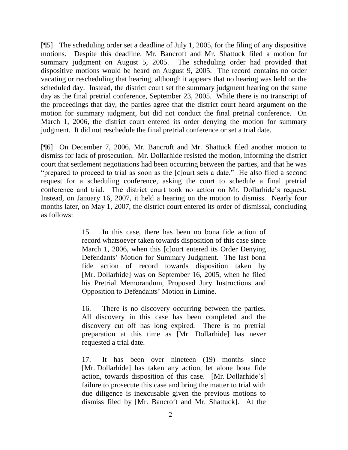[¶5] The scheduling order set a deadline of July 1, 2005, for the filing of any dispositive motions. Despite this deadline, Mr. Bancroft and Mr. Shattuck filed a motion for summary judgment on August 5, 2005. The scheduling order had provided that dispositive motions would be heard on August 9, 2005. The record contains no order vacating or rescheduling that hearing, although it appears that no hearing was held on the scheduled day. Instead, the district court set the summary judgment hearing on the same day as the final pretrial conference, September 23, 2005. While there is no transcript of the proceedings that day, the parties agree that the district court heard argument on the motion for summary judgment, but did not conduct the final pretrial conference. On March 1, 2006, the district court entered its order denying the motion for summary judgment. It did not reschedule the final pretrial conference or set a trial date.

[¶6] On December 7, 2006, Mr. Bancroft and Mr. Shattuck filed another motion to dismiss for lack of prosecution. Mr. Dollarhide resisted the motion, informing the district court that settlement negotiations had been occurring between the parties, and that he was "prepared to proceed to trial as soon as the [c]ourt sets a date." He also filed a second request for a scheduling conference, asking the court to schedule a final pretrial conference and trial. The district court took no action on Mr. Dollarhide's request. Instead, on January 16, 2007, it held a hearing on the motion to dismiss. Nearly four months later, on May 1, 2007, the district court entered its order of dismissal, concluding as follows:

> 15. In this case, there has been no bona fide action of record whatsoever taken towards disposition of this case since March 1, 2006, when this [c]ourt entered its Order Denying Defendants' Motion for Summary Judgment. The last bona fide action of record towards disposition taken by [Mr. Dollarhide] was on September 16, 2005, when he filed his Pretrial Memorandum, Proposed Jury Instructions and Opposition to Defendants' Motion in Limine.

> 16. There is no discovery occurring between the parties. All discovery in this case has been completed and the discovery cut off has long expired. There is no pretrial preparation at this time as [Mr. Dollarhide] has never requested a trial date.

> 17. It has been over nineteen (19) months since [Mr. Dollarhide] has taken any action, let alone bona fide action, towards disposition of this case. [Mr. Dollarhide's] failure to prosecute this case and bring the matter to trial with due diligence is inexcusable given the previous motions to dismiss filed by [Mr. Bancroft and Mr. Shattuck]. At the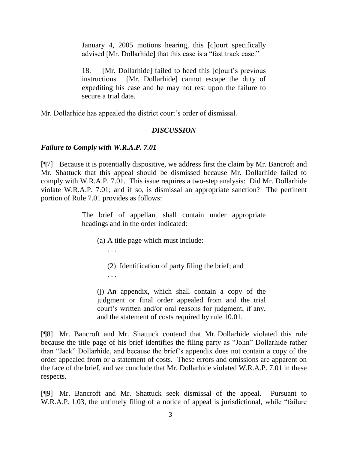January 4, 2005 motions hearing, this [c]ourt specifically advised [Mr. Dollarhide] that this case is a "fast track case."

18. [Mr. Dollarhide] failed to heed this [c]ourt's previous instructions. [Mr. Dollarhide] cannot escape the duty of expediting his case and he may not rest upon the failure to secure a trial date.

Mr. Dollarhide has appealed the district court's order of dismissal.

### *DISCUSSION*

### *Failure to Comply with W.R.A.P. 7.01*

[¶7] Because it is potentially dispositive, we address first the claim by Mr. Bancroft and Mr. Shattuck that this appeal should be dismissed because Mr. Dollarhide failed to comply with W.R.A.P. 7.01. This issue requires a two-step analysis: Did Mr. Dollarhide violate W.R.A.P. 7.01; and if so, is dismissal an appropriate sanction? The pertinent portion of Rule 7.01 provides as follows:

> The brief of appellant shall contain under appropriate headings and in the order indicated:

- (a) A title page which must include:
	- (2) Identification of party filing the brief; and
	- . . .

. . .

(j) An appendix, which shall contain a copy of the judgment or final order appealed from and the trial court's written and/or oral reasons for judgment, if any, and the statement of costs required by rule 10.01.

[¶8] Mr. Bancroft and Mr. Shattuck contend that Mr. Dollarhide violated this rule because the title page of his brief identifies the filing party as "John" Dollarhide rather than "Jack" Dollarhide, and because the brief's appendix does not contain a copy of the order appealed from or a statement of costs. These errors and omissions are apparent on the face of the brief, and we conclude that Mr. Dollarhide violated W.R.A.P. 7.01 in these respects.

[¶9] Mr. Bancroft and Mr. Shattuck seek dismissal of the appeal. Pursuant to W.R.A.P. 1.03, the untimely filing of a notice of appeal is jurisdictional, while "failure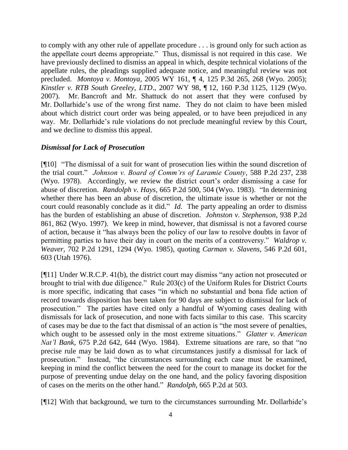to comply with any other rule of appellate procedure . . . is ground only for such action as the appellate court deems appropriate." Thus, dismissal is not required in this case. We have previously declined to dismiss an appeal in which, despite technical violations of the appellate rules, the pleadings supplied adequate notice, and meaningful review was not precluded. *Montoya v. Montoya*, 2005 WY 161, ¶ 4, 125 P.3d 265, 268 (Wyo. 2005); *Kinstler v. RTB South Greeley, LTD*., 2007 WY 98, ¶ 12, 160 P.3d 1125, 1129 (Wyo. 2007). Mr. Bancroft and Mr. Shattuck do not assert that they were confused by Mr. Dollarhide's use of the wrong first name. They do not claim to have been misled about which district court order was being appealed, or to have been prejudiced in any way. Mr. Dollarhide's rule violations do not preclude meaningful review by this Court, and we decline to dismiss this appeal.

### *Dismissal for Lack of Prosecution*

[¶10] "The dismissal of a suit for want of prosecution lies within the sound discretion of the trial court." *Johnson v. Board of Comm'rs of Laramie County*, 588 P.2d 237, 238 (Wyo. 1978). Accordingly, we review the district court's order dismissing a case for abuse of discretion. *Randolph v. Hays*, 665 P.2d 500, 504 (Wyo. 1983). "In determining whether there has been an abuse of discretion, the ultimate issue is whether or not the court could reasonably conclude as it did." *Id*. The party appealing an order to dismiss has the burden of establishing an abuse of discretion. *Johnston v. Stephenson*, 938 P.2d 861, 862 (Wyo. 1997). We keep in mind, however, that dismissal is not a favored course of action, because it "has always been the policy of our law to resolve doubts in favor of permitting parties to have their day in court on the merits of a controversy." *Waldrop v. Weaver*, 702 P.2d 1291, 1294 (Wyo. 1985), quoting *Carman v. Slavens*, 546 P.2d 601, 603 (Utah 1976).

[¶11] Under W.R.C.P. 41(b), the district court may dismiss "any action not prosecuted or brought to trial with due diligence." Rule 203(c) of the Uniform Rules for District Courts is more specific, indicating that cases "in which no substantial and bona fide action of record towards disposition has been taken for 90 days are subject to dismissal for lack of prosecution." The parties have cited only a handful of Wyoming cases dealing with dismissals for lack of prosecution, and none with facts similar to this case. This scarcity of cases may be due to the fact that dismissal of an action is "the most severe of penalties, which ought to be assessed only in the most extreme situations." *Glatter v. American Nat'l Bank*, 675 P.2d 642, 644 (Wyo. 1984). Extreme situations are rare, so that "no precise rule may be laid down as to what circumstances justify a dismissal for lack of prosecution." Instead, "the circumstances surrounding each case must be examined, keeping in mind the conflict between the need for the court to manage its docket for the purpose of preventing undue delay on the one hand, and the policy favoring disposition of cases on the merits on the other hand." *Randolph*, 665 P.2d at 503.

[¶12] With that background, we turn to the circumstances surrounding Mr. Dollarhide's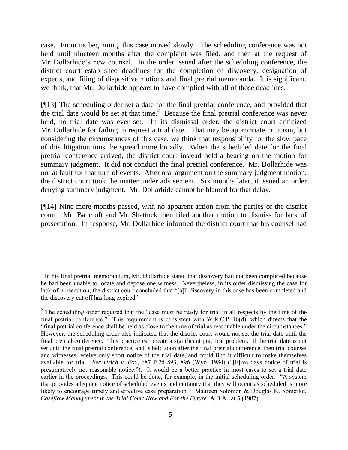case. From its beginning, this case moved slowly. The scheduling conference was not held until nineteen months after the complaint was filed, and then at the request of Mr. Dollarhide's new counsel. In the order issued after the scheduling conference, the district court established deadlines for the completion of discovery, designation of experts, and filing of dispositive motions and final pretrial memoranda. It is significant, we think, that Mr. Dollarhide appears to have complied with all of those deadlines.<sup>1</sup>

[¶13] The scheduling order set a date for the final pretrial conference, and provided that the trial date would be set at that time. 2 Because the final pretrial conference was never held, no trial date was ever set. In its dismissal order, the district court criticized Mr. Dollarhide for failing to request a trial date. That may be appropriate criticism, but considering the circumstances of this case, we think that responsibility for the slow pace of this litigation must be spread more broadly. When the scheduled date for the final pretrial conference arrived, the district court instead held a hearing on the motion for summary judgment. It did not conduct the final pretrial conference. Mr. Dollarhide was not at fault for that turn of events. After oral argument on the summary judgment motion, the district court took the matter under advisement. Six months later, it issued an order denying summary judgment. Mr. Dollarhide cannot be blamed for that delay.

[¶14] Nine more months passed, with no apparent action from the parties or the district court. Mr. Bancroft and Mr. Shattuck then filed another motion to dismiss for lack of prosecution. In response, Mr. Dollarhide informed the district court that his counsel had

 $\overline{a}$ 

 $<sup>1</sup>$  In his final pretrial memorandum, Mr. Dollarhide stated that discovery had not been completed because</sup> he had been unable to locate and depose one witness. Nevertheless, in its order dismissing the case for lack of prosecution, the district court concluded that "[a]ll discovery in this case has been completed and the discovery cut off has long expired."

 $2$  The scheduling order required that the "case must be ready for trial in all respects by the time of the final pretrial conference." This requirement is consistent with W.R.C.P. 16(d), which directs that the "final pretrial conference shall be held as close to the time of trial as reasonable under the circumstances." However, the scheduling order also indicated that the district court would not set the trial date until the final pretrial conference. This practice can create a significant practical problem. If the trial date is not set until the final pretrial conference, and is held soon after the final pretrial conference, then trial counsel and witnesses receive only short notice of the trial date, and could find it difficult to make themselves available for trial. *See Urich v. Fox*, 687 P.2d 893, 896 (Wyo. 1984) ("[F]ive days notice of trial is presumptively not reasonable notice."). It would be a better practice in most cases to set a trial date earlier in the proceedings. This could be done, for example, in the initial scheduling order. "A system that provides adequate notice of scheduled events and certainty that they will occur as scheduled is more likely to encourage timely and effective case preparation." Maureen Solomon & Douglas K. Somerlot, *Caseflow Management in the Trial Court Now and For the Future*, A.B.A., at 5 (1987).